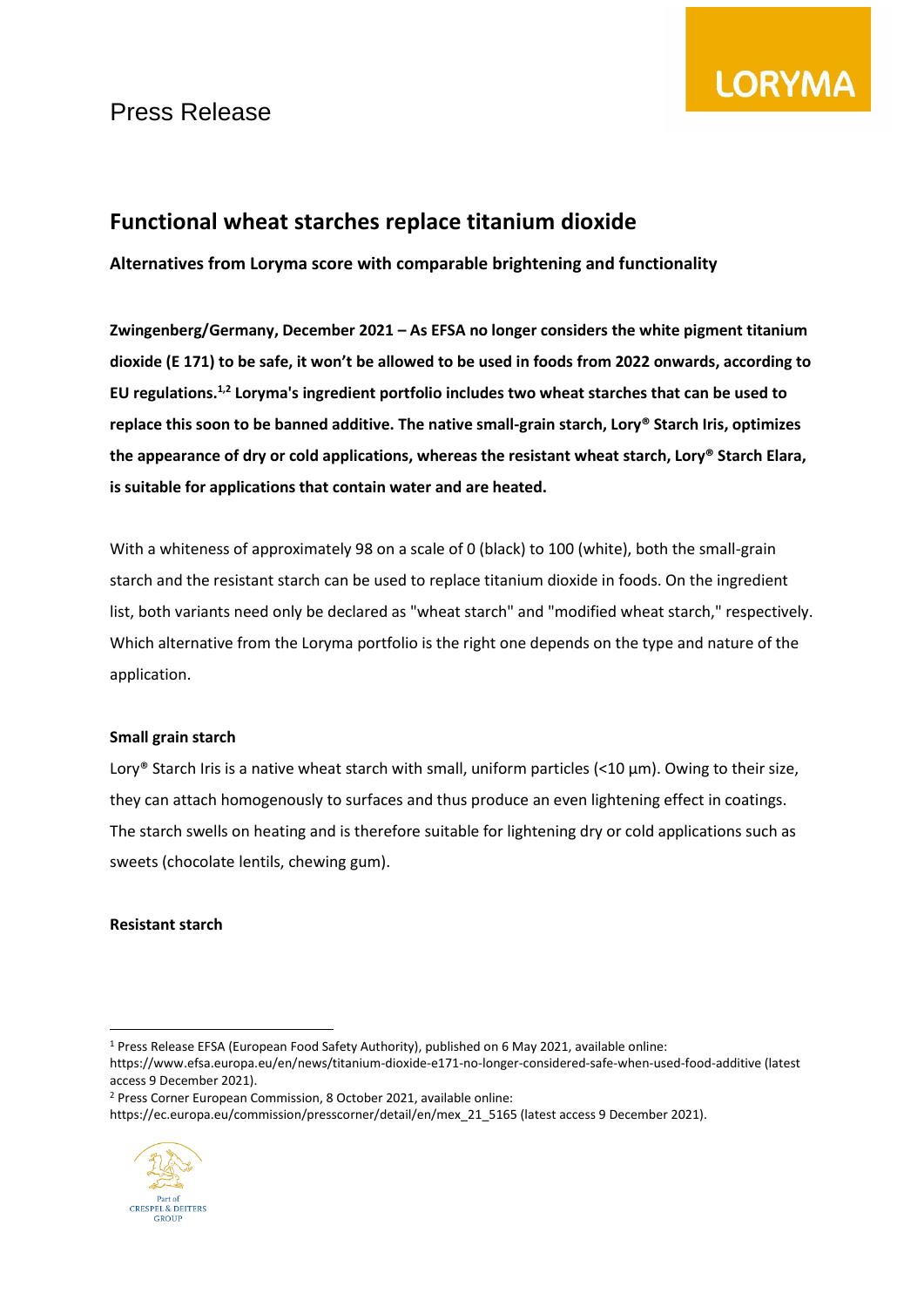

### **Functional wheat starches replace titanium dioxide**

**Alternatives from Loryma score with comparable brightening and functionality**

**Zwingenberg/Germany, December 2021 – As EFSA no longer considers the white pigment titanium dioxide (E 171) to be safe, it won't be allowed to be used in foods from 2022 onwards, according to**  EU regulations.<sup>1,2</sup> Loryma's ingredient portfolio includes two wheat starches that can be used to **replace this soon to be banned additive. The native small-grain starch, Lory® Starch Iris, optimizes the appearance of dry or cold applications, whereas the resistant wheat starch, Lory® Starch Elara, is suitable for applications that contain water and are heated.**

With a whiteness of approximately 98 on a scale of 0 (black) to 100 (white), both the small-grain starch and the resistant starch can be used to replace titanium dioxide in foods. On the ingredient list, both variants need only be declared as "wheat starch" and "modified wheat starch," respectively. Which alternative from the Loryma portfolio is the right one depends on the type and nature of the application.

### **Small grain starch**

Lory® Starch Iris is a native wheat starch with small, uniform particles  $($ <10  $\mu$ m). Owing to their size, they can attach homogenously to surfaces and thus produce an even lightening effect in coatings. The starch swells on heating and is therefore suitable for lightening dry or cold applications such as sweets (chocolate lentils, chewing gum).

### **Resistant starch**

https://ec.europa.eu/commission/presscorner/detail/en/mex\_21\_5165 (latest access 9 December 2021).



<sup>1</sup> Press Release EFSA (European Food Safety Authority), published on 6 May 2021, available online:

https://www.efsa.europa.eu/en/news/titanium-dioxide-e171-no-longer-considered-safe-when-used-food-additive (latest access 9 December 2021).

<sup>2</sup> Press Corner European Commission, 8 October 2021, available online: